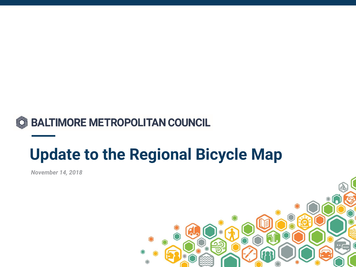

## **Update to the Regional Bicycle Map**

*November 14, 2018*

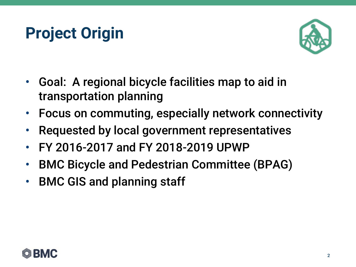## **Project Origin**



- Goal: A regional bicycle facilities map to aid in transportation planning
- Focus on commuting, especially network connectivity
- Requested by local government representatives
- FY 2016-2017 and FY 2018-2019 UPWP
- BMC Bicycle and Pedestrian Committee (BPAG)
- BMC GIS and planning staff

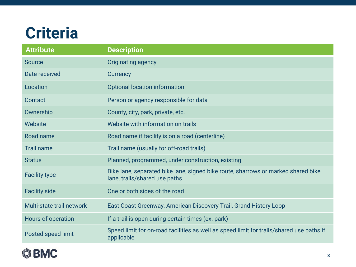### **Criteria**

| <b>Attribute</b>          | <b>Description</b>                                                                                                 |
|---------------------------|--------------------------------------------------------------------------------------------------------------------|
| <b>Source</b>             | Originating agency                                                                                                 |
| Date received             | Currency                                                                                                           |
| Location                  | <b>Optional location information</b>                                                                               |
| Contact                   | Person or agency responsible for data                                                                              |
| Ownership                 | County, city, park, private, etc.                                                                                  |
| Website                   | Website with information on trails                                                                                 |
| Road name                 | Road name if facility is on a road (centerline)                                                                    |
| <b>Trail name</b>         | Trail name (usually for off-road trails)                                                                           |
| <b>Status</b>             | Planned, programmed, under construction, existing                                                                  |
| <b>Facility type</b>      | Bike lane, separated bike lane, signed bike route, sharrows or marked shared bike<br>lane, trails/shared use paths |
| <b>Facility side</b>      | One or both sides of the road                                                                                      |
| Multi-state trail network | East Coast Greenway, American Discovery Trail, Grand History Loop                                                  |
| Hours of operation        | If a trail is open during certain times (ex. park)                                                                 |
| Posted speed limit        | Speed limit for on-road facilities as well as speed limit for trails/shared use paths if<br>applicable             |

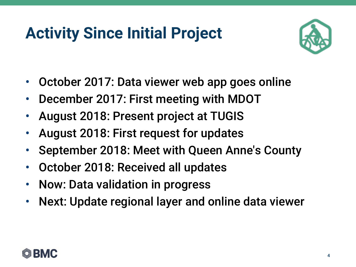# **Activity Since Initial Project**



- October 2017: Data viewer web app goes online
- December 2017: First meeting with MDOT
- August 2018: Present project at TUGIS
- August 2018: First request for updates
- September 2018: Meet with Queen Anne's County
- October 2018: Received all updates
- Now: Data validation in progress
- Next: Update regional layer and online data viewer

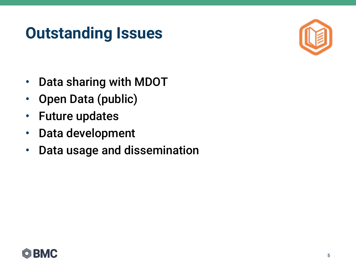## **Outstanding Issues**



- Data sharing with MDOT
- Open Data (public)
- Future updates
- Data development
- Data usage and dissemination

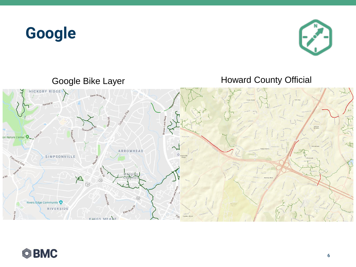### **Google**





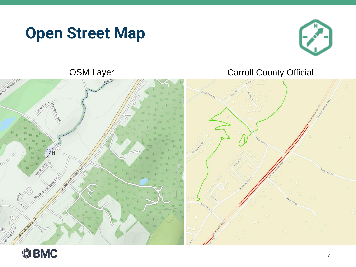### **Open Street Map**



### OSM Layer Carroll County Official



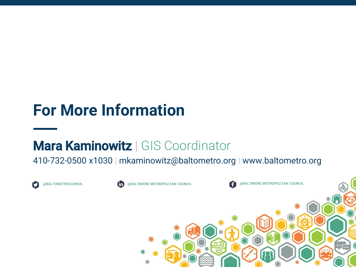### **For More Information**

### Mara Kaminowitz | GIS Coordinator

### 410-732-0500 x1030 | mkaminowitz@baltometro.org | www.baltometro.org